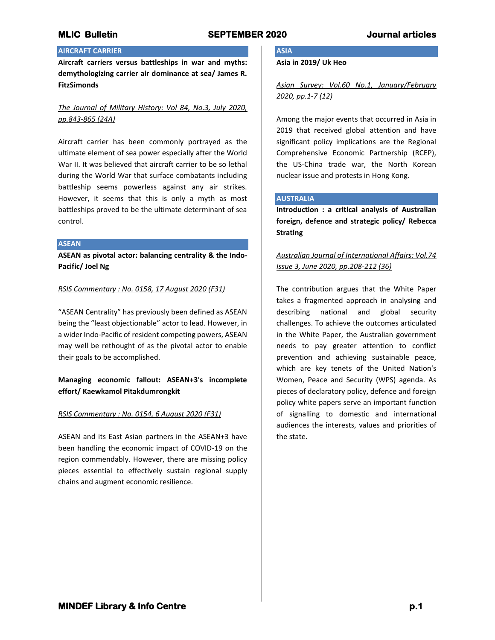## **AIRCRAFT CARRIER**

**Aircraft carriers versus battleships in war and myths: demythologizing carrier air dominance at sea/ James R. FitzSimonds**

# *The Journal of Military History: Vol 84, No.3, July 2020, pp.843-865 (24A)*

Aircraft carrier has been commonly portrayed as the ultimate element of sea power especially after the World War II. It was believed that aircraft carrier to be so lethal during the World War that surface combatants including battleship seems powerless against any air strikes. However, it seems that this is only a myth as most battleships proved to be the ultimate determinant of sea control.

## **ASEAN**

**ASEAN as pivotal actor: balancing centrality & the Indo-Pacific/ Joel Ng**

## *RSIS Commentary : No. 0158, 17 August 2020 (F31)*

"ASEAN Centrality" has previously been defined as ASEAN being the "least objectionable" actor to lead. However, in a wider Indo-Pacific of resident competing powers, ASEAN may well be rethought of as the pivotal actor to enable their goals to be accomplished.

# **Managing economic fallout: ASEAN+3's incomplete effort/ Kaewkamol Pitakdumrongkit**

## *RSIS Commentary : No. 0154, 6 August 2020 (F31)*

ASEAN and its East Asian partners in the ASEAN+3 have been handling the economic impact of COVID-19 on the region commendably. However, there are missing policy pieces essential to effectively sustain regional supply chains and augment economic resilience.

**ASIA**

**Asia in 2019/ Uk Heo**

*Asian Survey: Vol.60 No.1, January/February 2020, pp.1-7 (12)*

Among the major events that occurred in Asia in 2019 that received global attention and have significant policy implications are the Regional Comprehensive Economic Partnership (RCEP), the US-China trade war, the North Korean nuclear issue and protests in Hong Kong.

### **AUSTRALIA**

**Introduction : a critical analysis of Australian foreign, defence and strategic policy/ Rebecca Strating**

# *Australian Journal of International Affairs: Vol.74 Issue 3, June 2020, pp.208-212 (36)*

The contribution argues that the White Paper takes a fragmented approach in analysing and describing national and global security challenges. To achieve the outcomes articulated in the White Paper, the Australian government needs to pay greater attention to conflict prevention and achieving sustainable peace, which are key tenets of the United Nation's Women, Peace and Security (WPS) agenda. As pieces of declaratory policy, defence and foreign policy white papers serve an important function of signalling to domestic and international audiences the interests, values and priorities of the state.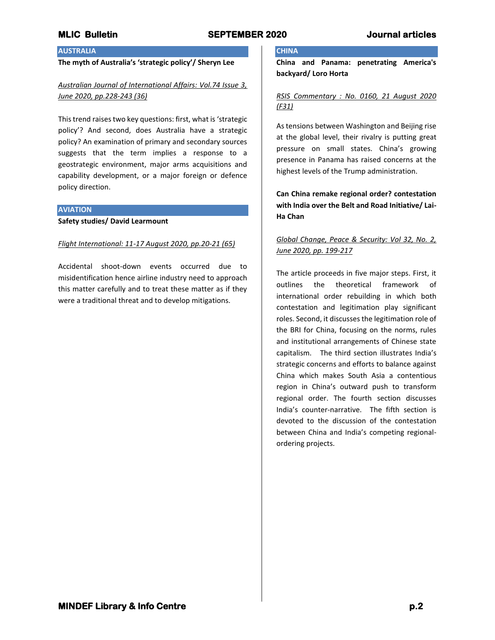# **AUSTRALIA**

## **The myth of Australia's 'strategic policy'/ Sheryn Lee**

# *Australian Journal of International Affairs: Vol.74 Issue 3, June 2020, pp.228-243 (36)*

This trend raises two key questions: first, what is 'strategic policy'? And second, does Australia have a strategic policy? An examination of primary and secondary sources suggests that the term implies a response to a geostrategic environment, major arms acquisitions and capability development, or a major foreign or defence policy direction.

### **AVIATION**

**Safety studies/ David Learmount**

## *Flight International: 11-17 August 2020, pp.20-21 (65)*

Accidental shoot-down events occurred due to misidentification hence airline industry need to approach this matter carefully and to treat these matter as if they were a traditional threat and to develop mitigations.

# **CHINA**

**China and Panama: penetrating America's backyard/ Loro Horta**

## *RSIS Commentary : No. 0160, 21 August 2020 (F31)*

As tensions between Washington and Beijing rise at the global level, their rivalry is putting great pressure on small states. China's growing presence in Panama has raised concerns at the highest levels of the Trump administration.

# **Can China remake regional order? contestation with India over the Belt and Road Initiative/ Lai-Ha Chan**

# *Global Change, Peace & Security: Vol 32, No. 2, June 2020, pp. 199-217*

The article proceeds in five major steps. First, it outlines the theoretical framework of international order rebuilding in which both contestation and legitimation play significant roles. Second, it discusses the legitimation role of the BRI for China, focusing on the norms, rules and institutional arrangements of Chinese state capitalism. The third section illustrates India's strategic concerns and efforts to balance against China which makes South Asia a contentious region in China's outward push to transform regional order. The fourth section discusses India's counter-narrative. The fifth section is devoted to the discussion of the contestation between China and India's competing regionalordering projects.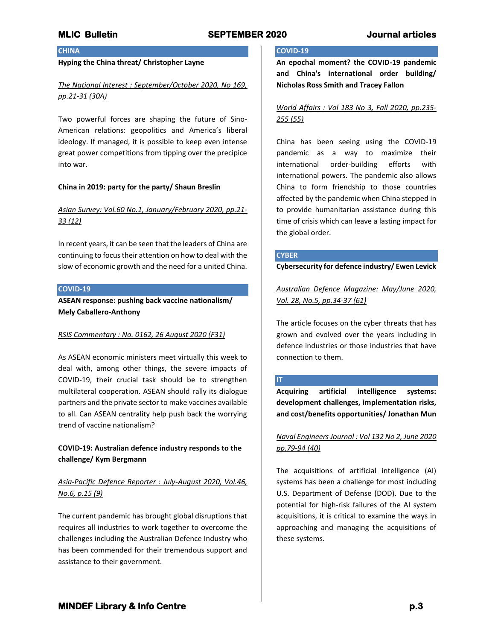## **CHINA**

## **Hyping the China threat/ Christopher Layne**

# *The National Interest : September/October 2020, No 169, pp.21-31 (30A)*

Two powerful forces are shaping the future of Sino-American relations: geopolitics and America's liberal ideology. If managed, it is possible to keep even intense great power competitions from tipping over the precipice into war.

### **China in 2019: party for the party/ Shaun Breslin**

# *Asian Survey: Vol.60 No.1, January/February 2020, pp.21- 33 (12)*

In recent years, it can be seen that the leaders of China are continuing to focus their attention on how to deal with the slow of economic growth and the need for a united China.

## **COVID-19**

**ASEAN response: pushing back vaccine nationalism/ Mely Caballero-Anthony**

## *RSIS Commentary : No. 0162, 26 August 2020 (F31)*

As ASEAN economic ministers meet virtually this week to deal with, among other things, the severe impacts of COVID-19, their crucial task should be to strengthen multilateral cooperation. ASEAN should rally its dialogue partners and the private sector to make vaccines available to all. Can ASEAN centrality help push back the worrying trend of vaccine nationalism?

# **COVID-19: Australian defence industry responds to the challenge/ Kym Bergmann**

# *Asia-Pacific Defence Reporter : July-August 2020, Vol.46, No.6, p.15 (9)*

The current pandemic has brought global disruptions that requires all industries to work together to overcome the challenges including the Australian Defence Industry who has been commended for their tremendous support and assistance to their government.

## **COVID-19**

**An epochal moment? the COVID-19 pandemic and China's international order building/ Nicholas Ross Smith and Tracey Fallon**

# *World Affairs : Vol 183 No 3, Fall 2020, pp.235- 255 (55)*

China has been seeing using the COVID-19 pandemic as a way to maximize their international order-building efforts with international powers. The pandemic also allows China to form friendship to those countries affected by the pandemic when China stepped in to provide humanitarian assistance during this time of crisis which can leave a lasting impact for the global order.

## **CYBER**

**Cybersecurity for defence industry/ Ewen Levick**

*Australian Defence Magazine: May/June 2020, Vol. 28, No.5, pp.34-37 (61)*

The article focuses on the cyber threats that has grown and evolved over the years including in defence industries or those industries that have connection to them.

### **IT**

**Acquiring artificial intelligence systems: development challenges, implementation risks, and cost/benefits opportunities/ Jonathan Mun**

# *Naval Engineers Journal : Vol 132 No 2, June 2020 pp.79-94 (40)*

The acquisitions of artificial intelligence (AI) systems has been a challenge for most including U.S. Department of Defense (DOD). Due to the potential for high-risk failures of the AI system acquisitions, it is critical to examine the ways in approaching and managing the acquisitions of these systems.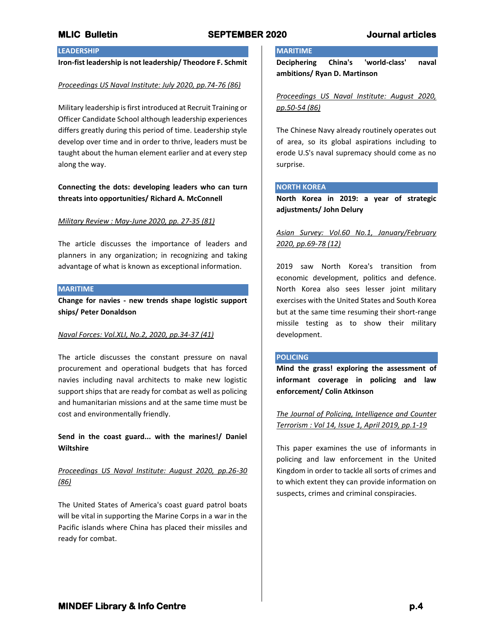# **LEADERSHIP**

## **Iron-fist leadership is not leadership/ Theodore F. Schmit**

#### *Proceedings US Naval Institute: July 2020, pp.74-76 (86)*

Military leadership is first introduced at Recruit Training or Officer Candidate School although leadership experiences differs greatly during this period of time. Leadership style develop over time and in order to thrive, leaders must be taught about the human element earlier and at every step along the way.

# **Connecting the dots: developing leaders who can turn threats into opportunities/ Richard A. McConnell**

#### *Military Review : May-June 2020, pp. 27-35 (81)*

The article discusses the importance of leaders and planners in any organization; in recognizing and taking advantage of what is known as exceptional information.

#### **MARITIME**

**Change for navies - new trends shape logistic support ships/ Peter Donaldson**

### *Naval Forces: Vol.XLI, No.2, 2020, pp.34-37 (41)*

The article discusses the constant pressure on naval procurement and operational budgets that has forced navies including naval architects to make new logistic support ships that are ready for combat as well as policing and humanitarian missions and at the same time must be cost and environmentally friendly.

**Send in the coast guard... with the marines!/ Daniel Wiltshire**

# *Proceedings US Naval Institute: August 2020, pp.26-30 (86)*

The United States of America's coast guard patrol boats will be vital in supporting the Marine Corps in a war in the Pacific islands where China has placed their missiles and ready for combat.

# **MARITIME**

**Deciphering China's 'world-class' naval ambitions/ Ryan D. Martinson**

*Proceedings US Naval Institute: August 2020, pp.50-54 (86)*

The Chinese Navy already routinely operates out of area, so its global aspirations including to erode U.S's naval supremacy should come as no surprise.

## **NORTH KOREA**

**North Korea in 2019: a year of strategic adjustments/ John Delury**

# *Asian Survey: Vol.60 No.1, January/February 2020, pp.69-78 (12)*

2019 saw North Korea's transition from economic development, politics and defence. North Korea also sees lesser joint military exercises with the United States and South Korea but at the same time resuming their short-range missile testing as to show their military development.

#### **POLICING**

**Mind the grass! exploring the assessment of informant coverage in policing and law enforcement/ Colin Atkinson**

*The Journal of Policing, Intelligence and Counter Terrorism : Vol 14, Issue 1, April 2019, pp.1-19*

This paper examines the use of informants in policing and law enforcement in the United Kingdom in order to tackle all sorts of crimes and to which extent they can provide information on suspects, crimes and criminal conspiracies.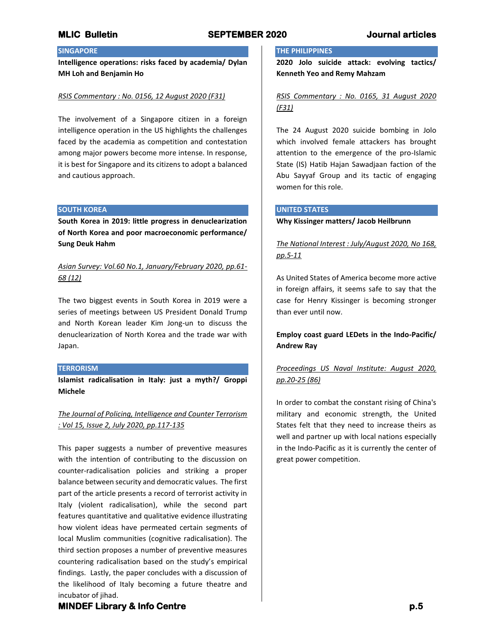# **SINGAPORE**

**Intelligence operations: risks faced by academia/ Dylan MH Loh and Benjamin Ho**

## *RSIS Commentary : No. 0156, 12 August 2020 (F31)*

The involvement of a Singapore citizen in a foreign intelligence operation in the US highlights the challenges faced by the academia as competition and contestation among major powers become more intense. In response, it is best for Singapore and its citizens to adopt a balanced and cautious approach.

### **SOUTH KOREA**

**South Korea in 2019: little progress in denuclearization of North Korea and poor macroeconomic performance/ Sung Deuk Hahm**

# *Asian Survey: Vol.60 No.1, January/February 2020, pp.61- 68 (12)*

The two biggest events in South Korea in 2019 were a series of meetings between US President Donald Trump and North Korean leader Kim Jong-un to discuss the denuclearization of North Korea and the trade war with Japan.

## **TERRORISM**

**Islamist radicalisation in Italy: just a myth?/ Groppi Michele**

# *The Journal of Policing, Intelligence and Counter Terrorism : Vol 15, Issue 2, July 2020, pp.117-135*

This paper suggests a number of preventive measures with the intention of contributing to the discussion on counter-radicalisation policies and striking a proper balance between security and democratic values. The first part of the article presents a record of terrorist activity in Italy (violent radicalisation), while the second part features quantitative and qualitative evidence illustrating how violent ideas have permeated certain segments of local Muslim communities (cognitive radicalisation). The third section proposes a number of preventive measures countering radicalisation based on the study's empirical findings. Lastly, the paper concludes with a discussion of the likelihood of Italy becoming a future theatre and incubator of jihad.

## **THE PHILIPPINES**

**2020 Jolo suicide attack: evolving tactics/ Kenneth Yeo and Remy Mahzam**

# *RSIS Commentary : No. 0165, 31 August 2020 (F31)*

The 24 August 2020 suicide bombing in Jolo which involved female attackers has brought attention to the emergence of the pro-Islamic State (IS) Hatib Hajan Sawadjaan faction of the Abu Sayyaf Group and its tactic of engaging women for this role.

## **UNITED STATES**

## **Why Kissinger matters/ Jacob Heilbrunn**

*The National Interest : July/August 2020, No 168, pp.5-11*

As United States of America become more active in foreign affairs, it seems safe to say that the case for Henry Kissinger is becoming stronger than ever until now.

# **Employ coast guard LEDets in the Indo-Pacific/ Andrew Ray**

# *Proceedings US Naval Institute: August 2020, pp.20-25 (86)*

In order to combat the constant rising of China's military and economic strength, the United States felt that they need to increase theirs as well and partner up with local nations especially in the Indo-Pacific as it is currently the center of great power competition.

# **MINDEF Library & Info Centre p.5**